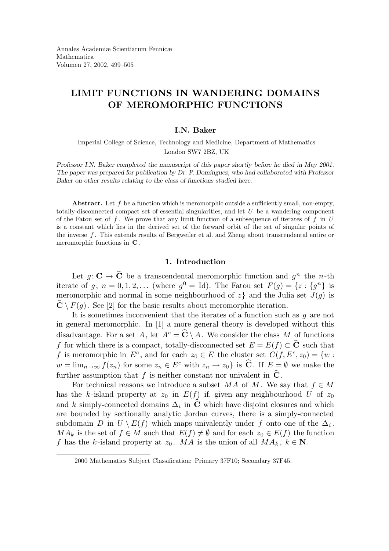# LIMIT FUNCTIONS IN WANDERING DOMAINS OF MEROMORPHIC FUNCTIONS

## I.N. Baker

Imperial College of Science, Technology and Medicine, Department of Mathematics London SW7 2BZ, UK

Professor I.N. Baker completed the manuscript of this paper shortly before he died in May 2001. The paper was prepared for publication by Dr. P. Domínguez, who had collaborated with Professor Baker on other results relating to the class of functions studied here.

Abstract. Let  $f$  be a function which is meromorphic outside a sufficiently small, non-empty, totally-disconnected compact set of essential singularities, and let  $U$  be a wandering component of the Fatou set of f. We prove that any limit function of a subsequence of iterates of f in  $U$ is a constant which lies in the derived set of the forward orbit of the set of singular points of the inverse f . This extends results of Bergweiler et al. and Zheng about transcendental entire or meromorphic functions in C.

## 1. Introduction

Let  $g: \mathbf{C} \to \mathbf{C}$  be a transcendental meromorphic function and  $g^n$  the n-th iterate of  $g, n = 0, 1, 2, ...$  (where  $g^0 = Id$ ). The Fatou set  $F(g) = \{z : \{g^n\}$  is meromorphic and normal in some neighbourhood of  $z$  and the Julia set  $J(q)$  is  $\mathbf{C} \setminus F(g)$ . See [2] for the basic results about meromorphic iteration.

It is sometimes inconvenient that the iterates of a function such as  $g$  are not in general meromorphic. In [1] a more general theory is developed without this disadvantage. For a set A, let  $A^c = \widehat{C} \setminus A$ . We consider the class M of functions f for which there is a compact, totally-disconnected set  $E = E(f) \subset \widehat{C}$  such that f is meromorphic in  $E^c$ , and for each  $z_0 \in E$  the cluster set  $C(f, E^c, z_0) = \{w :$  $w = \lim_{n \to \infty} f(z_n)$  for some  $z_n \in E^c$  with  $z_n \to z_0$  is  $\hat{C}$ . If  $E = \emptyset$  we make the further assumption that f is neither constant nor univalent in  $\hat{C}$ .

For technical reasons we introduce a subset MA of M. We say that  $f \in M$ has the k-island property at  $z_0$  in  $E(f)$  if, given any neighbourhood U of  $z_0$ and k simply-connected domains  $\Delta_i$  in C which have disjoint closures and which are bounded by sectionally analytic Jordan curves, there is a simply-connected subdomain D in  $U \setminus E(f)$  which maps univalently under f onto one of the  $\Delta_i$ .  $MA_k$  is the set of  $f \in M$  such that  $E(f) \neq \emptyset$  and for each  $z_0 \in E(f)$  the function f has the k-island property at  $z_0$ . MA is the union of all  $MA_k$ ,  $k \in \mathbb{N}$ .

<sup>2000</sup> Mathematics Subject Classification: Primary 37F10; Secondary 37F45.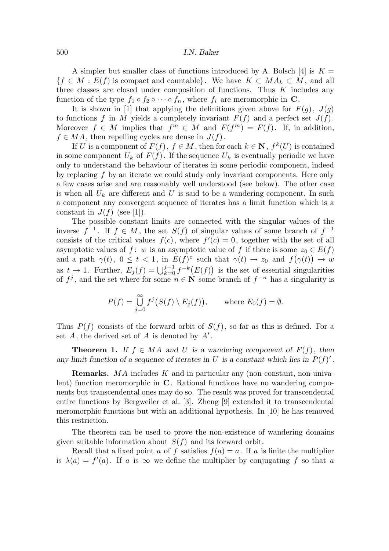#### 500 I.N. Baker

A simpler but smaller class of functions introduced by A. Bolsch [4] is  $K =$  ${f \in M : E(f) \text{ is compact and countable}}$ . We have  $K \subset M A_k \subset M$ , and all three classes are closed under composition of functions. Thus  $K$  includes any function of the type  $f_1 \circ f_2 \circ \cdots \circ f_n$ , where  $f_i$  are meromorphic in C.

It is shown in [1] that applying the definitions given above for  $F(g)$ ,  $J(g)$ to functions f in M yields a completely invariant  $F(f)$  and a perfect set  $J(f)$ . Moreover  $f \in M$  implies that  $f^m \in M$  and  $F(f^m) = F(f)$ . If, in addition,  $f \in MA$ , then repelling cycles are dense in  $J(f)$ .

If U is a component of  $F(f)$ ,  $f \in M$ , then for each  $k \in \mathbb{N}$ ,  $f^k(U)$  is contained in some component  $U_k$  of  $F(f)$ . If the sequence  $U_k$  is eventually periodic we have only to understand the behaviour of iterates in some periodic component, indeed by replacing  $f$  by an iterate we could study only invariant components. Here only a few cases arise and are reasonably well understood (see below). The other case is when all  $U_k$  are different and U is said to be a wandering component. In such a component any convergent sequence of iterates has a limit function which is a constant in  $J(f)$  (see [1]).

The possible constant limits are connected with the singular values of the inverse  $f^{-1}$ . If  $f \in M$ , the set  $S(f)$  of singular values of some branch of  $f^{-1}$ consists of the critical values  $f(c)$ , where  $f'(c) = 0$ , together with the set of all asymptotic values of f: w is an asymptotic value of f if there is some  $z_0 \in E(f)$ and a path  $\gamma(t)$ ,  $0 \le t < 1$ , in  $E(f)^c$  such that  $\gamma(t) \to z_0$  and  $f(\gamma(t)) \to w$ as  $t \to 1$ . Further,  $E_j(f) = \bigcup_{k=0}^{j-1} f^{-k}(E(f))$  is the set of essential singularities of  $f^j$ , and the set where for some  $n \in \mathbb{N}$  some branch of  $f^{-n}$  has a singularity is

$$
P(f) = \bigcup_{j=0}^{\infty} f^j(S(f) \setminus E_j(f)), \quad \text{where } E_0(f) = \emptyset.
$$

Thus  $P(f)$  consists of the forward orbit of  $S(f)$ , so far as this is defined. For a set  $A$ , the derived set of  $A$  is denoted by  $A'$ .

**Theorem 1.** If  $f \in MA$  and U is a wandering component of  $F(f)$ , then any limit function of a sequence of iterates in U is a constant which lies in  $P(f)'$ .

Remarks. MA includes K and in particular any (non-constant, non-univalent) function meromorphic in C. Rational functions have no wandering components but transcendental ones may do so. The result was proved for transcendental entire functions by Bergweiler et al. [3]. Zheng [9] extended it to transcendental meromorphic functions but with an additional hypothesis. In [10] he has removed this restriction.

The theorem can be used to prove the non-existence of wandering domains given suitable information about  $S(f)$  and its forward orbit.

Recall that a fixed point a of f satisfies  $f(a) = a$ . If a is finite the multiplier is  $\lambda(a) = f'(a)$ . If a is  $\infty$  we define the multiplier by conjugating f so that a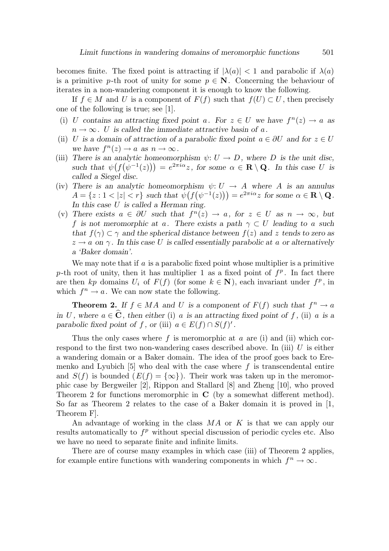becomes finite. The fixed point is attracting if  $|\lambda(a)| < 1$  and parabolic if  $\lambda(a)$ is a primitive p-th root of unity for some  $p \in \mathbb{N}$ . Concerning the behaviour of iterates in a non-wandering component it is enough to know the following.

If  $f \in M$  and U is a component of  $F(f)$  such that  $f(U) \subset U$ , then precisely one of the following is true; see [1].

- (i) U contains an attracting fixed point a. For  $z \in U$  we have  $f^{n}(z) \to a$  as  $n \to \infty$ . U is called the immediate attractive basin of a.
- (ii) U is a domain of attraction of a parabolic fixed point  $a \in \partial U$  and for  $z \in U$ we have  $f^{n}(z) \rightarrow a$  as  $n \rightarrow \infty$ .
- (iii) There is an analytic homeomorphism  $\psi: U \to D$ , where D is the unit disc, such that  $\psi(f(\psi^{-1}(z))) = e^{2\pi i \alpha} z$ , for some  $\alpha \in \mathbf{R} \setminus \mathbf{Q}$ . In this case U is called a Siegel disc.
- (iv) There is an analytic homeomorphism  $\psi: U \to A$  where A is an annulus  $A = \{z : 1 < |z| < r\}$  such that  $\psi(f(\psi^{-1}(z))) = e^{2\pi i \alpha} z$  for some  $\alpha \in \mathbf{R} \setminus \mathbf{Q}$ . In this case U is called a Herman ring.
- (v) There exists  $a \in \partial U$  such that  $f^{n}(z) \to a$ , for  $z \in U$  as  $n \to \infty$ , but f is not meromorphic at a. There exists a path  $\gamma \subset U$  leading to a such that  $f(\gamma) \subset \gamma$  and the spherical distance between  $f(z)$  and z tends to zero as  $z \rightarrow a$  on  $\gamma$ . In this case U is called essentially parabolic at a or alternatively a 'Baker domain'.

We may note that if a is a parabolic fixed point whose multiplier is a primitive p-th root of unity, then it has multiplier 1 as a fixed point of  $f<sup>p</sup>$ . In fact there are then kp domains  $U_i$  of  $F(f)$  (for some  $k \in \mathbb{N}$ ), each invariant under  $f^p$ , in which  $f^n \to a$ . We can now state the following.

**Theorem 2.** If  $f \in MA$  and U is a component of  $F(f)$  such that  $f^n \to a$ in U, where  $a \in \hat{\mathbf{C}}$ , then either (i) a is an attracting fixed point of f, (ii) a is a parabolic fixed point of f, or (iii)  $a \in E(f) \cap S(f)'$ .

Thus the only cases where  $f$  is meromorphic at  $a$  are (i) and (ii) which correspond to the first two non-wandering cases described above. In (iii)  $U$  is either a wandering domain or a Baker domain. The idea of the proof goes back to Eremenko and Lyubich  $[5]$  who deal with the case where f is transcendental entire and  $S(f)$  is bounded  $(E(f) = {\infty})$ . Their work was taken up in the meromorphic case by Bergweiler [2], Rippon and Stallard [8] and Zheng [10], who proved Theorem 2 for functions meromorphic in  $C$  (by a somewhat different method). So far as Theorem 2 relates to the case of a Baker domain it is proved in [1, Theorem F].

An advantage of working in the class MA or K is that we can apply our results automatically to  $f<sup>p</sup>$  without special discussion of periodic cycles etc. Also we have no need to separate finite and infinite limits.

There are of course many examples in which case (iii) of Theorem 2 applies, for example entire functions with wandering components in which  $f^n \to \infty$ .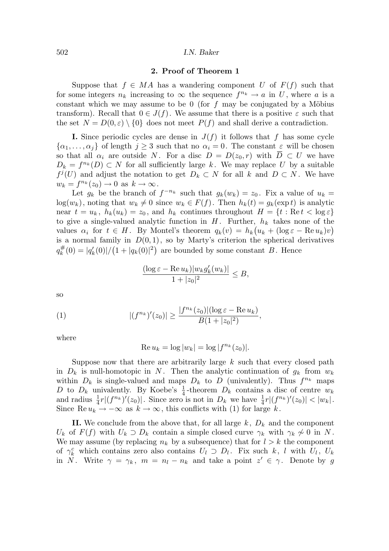#### 502 I.N. Baker

#### 2. Proof of Theorem 1

Suppose that  $f \in MA$  has a wandering component U of  $F(f)$  such that for some integers  $n_k$  increasing to  $\infty$  the sequence  $f^{n_k} \to a$  in U, where a is a constant which we may assume to be 0 (for f may be conjugated by a Möbius transform). Recall that  $0 \in J(f)$ . We assume that there is a positive  $\varepsilon$  such that the set  $N = D(0, \varepsilon) \setminus \{0\}$  does not meet  $P(f)$  and shall derive a contradiction.

**I.** Since periodic cycles are dense in  $J(f)$  it follows that f has some cycle  $\{\alpha_1,\ldots,\alpha_j\}$  of length  $j\geq 3$  such that no  $\alpha_i=0$ . The constant  $\varepsilon$  will be chosen so that all  $\alpha_i$  are outside N. For a disc  $D = D(z_0, r)$  with  $D \subset U$  we have  $D_k = f^{n_k}(D) \subset N$  for all sufficiently large k. We may replace U by a suitable  $f^j(U)$  and adjust the notation to get  $D_k \subset N$  for all k and  $D \subset N$ . We have  $w_k = f^{n_k}(z_0) \to 0$  as  $k \to \infty$ .

Let  $g_k$  be the branch of  $f^{-n_k}$  such that  $g_k(w_k) = z_0$ . Fix a value of  $u_k =$  $log(w_k)$ , noting that  $w_k \neq 0$  since  $w_k \in F(f)$ . Then  $h_k(t) = g_k(\exp t)$  is analytic near  $t = u_k$ ,  $h_k(u_k) = z_0$ , and  $h_k$  continues throughout  $H = \{t : \text{Re } t < \log \varepsilon\}$ to give a single-valued analytic function in  $H$ . Further,  $h_k$  takes none of the values  $\alpha_i$  for  $t \in H$ . By Montel's theorem  $q_k(v) = h_k(u_k + (\log \varepsilon - \text{Re } u_k)v)$ is a normal family in  $D(0, 1)$ , so by Marty's criterion the spherical derivatives  $q_k^{\#}$  $\frac{\#}{k}(0) = |q'_{k}(0)| / (1 + |q_{k}(0)|^{2})$  are bounded by some constant B. Hence

$$
\frac{(\log \varepsilon - \operatorname{Re} u_k)|w_k g'_k(w_k)|}{1 + |z_0|^2} \leq B,
$$

so

(1) 
$$
|(f^{n_k})'(z_0)| \ge \frac{|f^{n_k}(z_0)|(\log \varepsilon - \text{Re } u_k)}{B(1+|z_0|^2)},
$$

where

$$
Re u_k = \log |w_k| = \log |f^{n_k}(z_0)|.
$$

Suppose now that there are arbitrarily large  $k$  such that every closed path in  $D_k$  is null-homotopic in N. Then the analytic continuation of  $g_k$  from  $w_k$ within  $D_k$  is single-valued and maps  $D_k$  to D (univalently). Thus  $f^{n_k}$  maps D to  $D_k$  univalently. By Koebe's  $\frac{1}{4}$ -theorem  $D_k$  contains a disc of centre  $w_k$ and radius  $\frac{1}{4}r|(f^{n_k})'(z_0)|$ . Since zero is not in  $D_k$  we have  $\frac{1}{4}$  $\frac{1}{4}r|(f^{n_k})'(z_0)| < |w_k|.$ Since Re  $u_k \to -\infty$  as  $k \to \infty$ , this conflicts with (1) for large k.

II. We conclude from the above that, for all large  $k, D_k$  and the component  $U_k$  of  $F(f)$  with  $U_k \supset D_k$  contain a simple closed curve  $\gamma_k$  with  $\gamma_k \not\sim 0$  in N. We may assume (by replacing  $n_k$  by a subsequence) that for  $l > k$  the component of  $\gamma_k^c$  which contains zero also contains  $U_l \supset D_l$ . Fix such k, l with  $U_l$ ,  $U_k$ in N. Write  $\gamma = \gamma_k$ ,  $m = n_l - n_k$  and take a point  $z' \in \gamma$ . Denote by g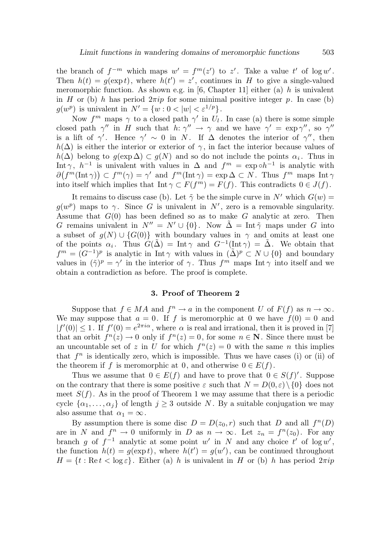the branch of  $f^{-m}$  which maps  $w' = f^{m}(z')$  to  $z'$ . Take a value  $t'$  of log w'. Then  $h(t) = g(\exp t)$ , where  $h(t') = z'$ , continues in H to give a single-valued meromorphic function. As shown e.g. in [6, Chapter 11] either (a)  $h$  is univalent in H or (b) h has period  $2\pi i p$  for some minimal positive integer p. In case (b)  $g(w^p)$  is univalent in  $N' = \{w : 0 < |w| < \varepsilon^{1/p}\}.$ 

Now  $f^m$  maps  $\gamma$  to a closed path  $\gamma'$  in  $U_l$ . In case (a) there is some simple closed path  $\gamma''$  in H such that  $h: \gamma'' \to \gamma$  and we have  $\gamma' = \exp \gamma''$ , so  $\gamma''$ is a lift of  $\gamma'$ . Hence  $\gamma' \sim 0$  in N. If  $\Delta$  denotes the interior of  $\gamma''$ , then  $h(\Delta)$  is either the interior or exterior of  $\gamma$ , in fact the interior because values of  $h(\Delta)$  belong to  $g(\exp \Delta) \subset g(N)$  and so do not include the points  $\alpha_i$ . Thus in Int  $\gamma$ ,  $h^{-1}$  is univalent with values in  $\Delta$  and  $f^m = \exp \circ h^{-1}$  is analytic with  $\partial (f^m(\text{Int } \gamma)) \subset f^m(\gamma) = \gamma'$  and  $f^m(\text{Int } \gamma) = \exp \Delta \subset N$ . Thus  $f^m$  maps  $\text{Int } \gamma$ into itself which implies that  $\text{Int } \gamma \subset F(f^m) = F(f)$ . This contradicts  $0 \in J(f)$ .

It remains to discuss case (b). Let  $\tilde{\gamma}$  be the simple curve in N' which  $G(w)$  =  $g(w^p)$  maps to  $\gamma$ . Since G is univalent in N', zero is a removable singularity. Assume that  $G(0)$  has been defined so as to make G analytic at zero. Then G remains univalent in  $N'' = N' \cup \{0\}$ . Now  $\tilde{\Delta} = \text{Int } \tilde{\gamma}$  maps under G into a subset of  $g(N) \cup \{G(0)\}\$  with boundary values in  $\gamma$  and omits at least one of the points  $\alpha_i$ . Thus  $G(\tilde{\Delta}) = \text{Int } \gamma$  and  $G^{-1}(\text{Int } \gamma) = \tilde{\Delta}$ . We obtain that  $f^{m} = (G^{-1})^{p}$  is analytic in Int  $\gamma$  with values in  $(\tilde{\Delta})^{p} \subset N \cup \{0\}$  and boundary values in  $(\tilde{\gamma})^p = \gamma'$  in the interior of  $\gamma$ . Thus  $f^m$  maps Int  $\gamma$  into itself and we obtain a contradiction as before. The proof is complete.

### 3. Proof of Theorem 2

Suppose that  $f \in MA$  and  $f^n \to a$  in the component U of  $F(f)$  as  $n \to \infty$ . We may suppose that  $a = 0$ . If f is meromorphic at 0 we have  $f(0) = 0$  and  $|f'(0)| \leq 1$ . If  $f'(0) = e^{2\pi i \alpha}$ , where  $\alpha$  is real and irrational, then it is proved in [7] that an orbit  $f^{n}(z) \to 0$  only if  $f^{n}(z) = 0$ , for some  $n \in \mathbb{N}$ . Since there must be an uncountable set of z in U for which  $f^{(n)}(z) = 0$  with the same n this implies that  $f^n$  is identically zero, which is impossible. Thus we have cases (i) or (ii) of the theorem if f is meromorphic at 0, and otherwise  $0 \in E(f)$ .

Thus we assume that  $0 \in E(f)$  and have to prove that  $0 \in S(f)'$ . Suppose on the contrary that there is some positive  $\varepsilon$  such that  $N = D(0,\varepsilon) \setminus \{0\}$  does not meet  $S(f)$ . As in the proof of Theorem 1 we may assume that there is a periodic cycle  $\{\alpha_1, \ldots, \alpha_j\}$  of length  $j \geq 3$  outside N. By a suitable conjugation we may also assume that  $\alpha_1 = \infty$ .

By assumption there is some disc  $D = D(z_0, r)$  such that D and all  $f^n(D)$ are in N and  $f^n \to 0$  uniformly in D as  $n \to \infty$ . Let  $z_n = f^n(z_0)$ . For any branch g of  $f^{-1}$  analytic at some point w' in N and any choice t' of  $\log w'$ , the function  $h(t) = g(\exp t)$ , where  $h(t') = g(w')$ , can be continued throughout  $H = \{t : \text{Re } t < \log \varepsilon\}.$  Either (a) h is univalent in H or (b) h has period  $2\pi i p$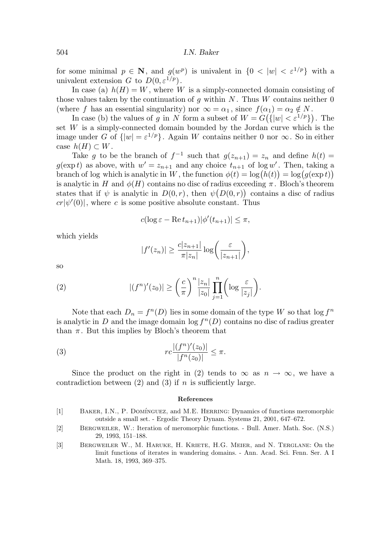for some minimal  $p \in \mathbb{N}$ , and  $g(w^p)$  is univalent in  $\{0 \lt |w| \lt \varepsilon^{1/p}\}\$  with a univalent extension G to  $D(0, \varepsilon^{1/p})$ .

In case (a)  $h(H) = W$ , where W is a simply-connected domain consisting of those values taken by the continuation of g within  $N$ . Thus  $W$  contains neither 0 (where f has an essential singularity) nor  $\infty = \alpha_1$ , since  $f(\alpha_1) = \alpha_2 \notin N$ .

In case (b) the values of g in N form a subset of  $W = G({\{|w| < \varepsilon^{1/p}\}})$ . The set  $W$  is a simply-connected domain bounded by the Jordan curve which is the image under G of  $\{|w| = \varepsilon^{1/p}\}\.$  Again W contains neither 0 nor  $\infty$ . So in either case  $h(H) \subset W$ .

Take g to be the branch of  $f^{-1}$  such that  $g(z_{n+1}) = z_n$  and define  $h(t) =$  $g(\exp t)$  as above, with  $w' = z_{n+1}$  and any choice  $t_{n+1}$  of log w'. Then, taking a branch of log which is analytic in W, the function  $\phi(t) = \log(h(t)) = \log(g(\exp t))$ is analytic in H and  $\phi(H)$  contains no disc of radius exceeding  $\pi$ . Bloch's theorem states that if  $\psi$  is analytic in  $D(0,r)$ , then  $\psi(D(0,r))$  contains a disc of radius  $cr|\psi'(0)|$ , where c is some positive absolute constant. Thus

$$
c(\log \varepsilon - \operatorname{Re} t_{n+1})|\phi'(t_{n+1})| \le \pi,
$$

which yields

$$
|f'(z_n)| \geq \frac{c|z_{n+1}|}{\pi |z_n|} \log \bigg(\frac{\varepsilon}{|z_{n+1}|}\bigg),\,
$$

so

(2) 
$$
|(f^n)'(z_0)| \ge \left(\frac{c}{\pi}\right)^n \frac{|z_n|}{|z_0|} \prod_{j=1}^n \left(\log \frac{\varepsilon}{|z_j|}\right).
$$

Note that each  $D_n = f^n(D)$  lies in some domain of the type W so that  $\log f^n$ is analytic in D and the image domain  $\log f^{n}(D)$  contains no disc of radius greater than  $\pi$ . But this implies by Bloch's theorem that

(3) 
$$
rc\frac{|(f^n)'(z_0)|}{|f^n(z_0)|} \leq \pi.
$$

Since the product on the right in (2) tends to  $\infty$  as  $n \to \infty$ , we have a contradiction between  $(2)$  and  $(3)$  if n is sufficiently large.

#### References

- [1] BAKER, I.N., P. DOMÍNGUEZ, and M.E. HERRING: Dynamics of functions meromorphic outside a small set. - Ergodic Theory Dynam. Systems 21, 2001, 647–672.
- [2] Bergweiler, W.: Iteration of meromorphic functions. Bull. Amer. Math. Soc. (N.S.) 29, 1993, 151–188.
- [3] Bergweiler W., M. Haruke, H. Kriete, H.G. Meier, and N. Terglane: On the limit functions of iterates in wandering domains. - Ann. Acad. Sci. Fenn. Ser. A I Math. 18, 1993, 369–375.